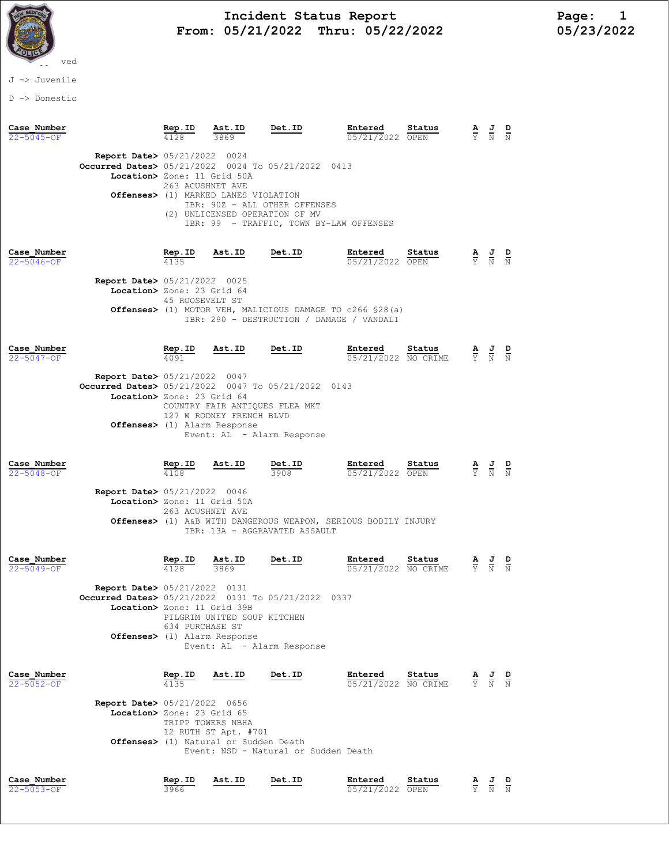

J -> Juvenile

D -> Domestic

| Case Number<br>22-5045-OF       |                                                                                                                                       | Rep.ID                                            | Ast.ID<br>3869                                                                                         | Det.ID                                                                                                                        | Entered<br>05/21/2022                  | Status<br>OPEN | $rac{\mathbf{A}}{\Upsilon}$     | $\frac{J}{N}$                                                                                   | $\frac{D}{N}$ |
|---------------------------------|---------------------------------------------------------------------------------------------------------------------------------------|---------------------------------------------------|--------------------------------------------------------------------------------------------------------|-------------------------------------------------------------------------------------------------------------------------------|----------------------------------------|----------------|---------------------------------|-------------------------------------------------------------------------------------------------|---------------|
|                                 | <b>Report Date&gt; 05/21/2022 0024</b><br><b>Occurred Dates&gt;</b> 05/21/2022 0024 To 05/21/2022 0413<br>Location> Zone: 11 Grid 50A | 263 ACUSHNET AVE                                  | Offenses> (1) MARKED LANES VIOLATION<br>(2) UNLICENSED OPERATION OF MV                                 | IBR: 90Z - ALL OTHER OFFENSES<br>IBR: 99 - TRAFFIC, TOWN BY-LAW OFFENSES                                                      |                                        |                |                                 |                                                                                                 |               |
| Case Number<br>$22 - 5046 - 0F$ | <b>Report Date&gt; 05/21/2022 0025</b><br>Location> Zone: 23 Grid 64                                                                  | $\frac{\text{Rep. ID}}{4135}$<br>45 ROOSEVELT ST  | Ast.ID                                                                                                 | Det.ID<br>Offenses> (1) MOTOR VEH, MALICIOUS DAMAGE TO c266 \$28(a)<br>IBR: 290 - DESTRUCTION / DAMAGE / VANDALI              | Entered<br>05/21/2022 OPEN             | Status         |                                 | $\frac{\mathbf{A}}{\mathbf{Y}}$ $\frac{\mathbf{J}}{\mathbf{N}}$ $\frac{\mathbf{D}}{\mathbf{N}}$ |               |
| Case Number<br>22-5047-OF       | <b>Report Date&gt; 05/21/2022 0047</b><br>Occurred Dates> 05/21/2022 0047 To 05/21/2022<br>Location> Zone: 23 Grid 64                 | Rep.ID<br>4091                                    | Ast.ID<br>COUNTRY FAIR ANTIQUES FLEA MKT<br>127 W RODNEY FRENCH BLVD<br>Offenses> (1) Alarm Response   | Det.ID<br>Event: AL - Alarm Response                                                                                          | Entered<br>05/21/2022 NO CRIME<br>0143 | Status         |                                 | $\frac{\mathbf{A}}{\mathbf{Y}}$ $\frac{\mathbf{J}}{\mathbf{N}}$ $\frac{\mathbf{D}}{\mathbf{N}}$ |               |
| Case Number<br>$22 - 5048 - OF$ | <b>Report Date&gt; 05/21/2022 0046</b><br>Location> Zone: 11 Grid 50A                                                                 | $\frac{\text{Rep. ID}}{4108}$<br>263 ACUSHNET AVE | Ast.ID                                                                                                 | $rac{\text{Det }ID}{3908}$<br>Offenses> (1) A&B WITH DANGEROUS WEAPON, SERIOUS BODILY INJURY<br>IBR: 13A - AGGRAVATED ASSAULT | Entered<br>05/21/2022 OPEN             | Status         |                                 | $\frac{\mathbf{A}}{\mathbf{Y}}$ $\frac{\mathbf{J}}{\mathbf{N}}$                                 |               |
| Case Number<br>$22 - 5049 - OF$ | Report Date> 05/21/2022 0131<br>Occurred Dates> 05/21/2022 0131 To 05/21/2022 0337<br>Location> Zone: 11 Grid 39B                     | $rac{\text{Rep. ID}}{4128}$<br>634 PURCHASE ST    | $\frac{\text{Ast. ID}}{3869}$<br>PILGRIM UNITED SOUP KITCHEN<br><b>Offenses&gt;</b> (1) Alarm Response | Det.ID<br>Event: AL - Alarm Response                                                                                          | Entered<br>05/21/2022 NO CRIME         | Status         | $\frac{\mathbf{A}}{\mathrm{Y}}$ | $\frac{J}{N}$ $\frac{D}{N}$                                                                     |               |
| Case Number<br>22-5052-OF       | <b>Report Date&gt; 05/21/2022 0656</b><br>Location> Zone: 23 Grid 65                                                                  | Rep.ID<br>4135                                    | Ast.ID<br>TRIPP TOWERS NBHA<br>12 RUTH ST Apt. #701<br>Offenses> (1) Natural or Sudden Death           | Det.ID<br>Event: NSD - Natural or Sudden Death                                                                                | Entered<br>05/21/2022 NO CRIME         | Status         | $\frac{\mathbf{A}}{\mathbf{Y}}$ | $\frac{J}{N}$                                                                                   | $\frac{D}{N}$ |
| Case Number<br>$22 - 5053 - OF$ |                                                                                                                                       | Rep.ID<br>3966                                    | Ast.ID                                                                                                 | Det.ID                                                                                                                        | Entered<br>05/21/2022 OPEN             | Status         | $\frac{A}{Y}$                   | $\frac{J}{N}$                                                                                   |               |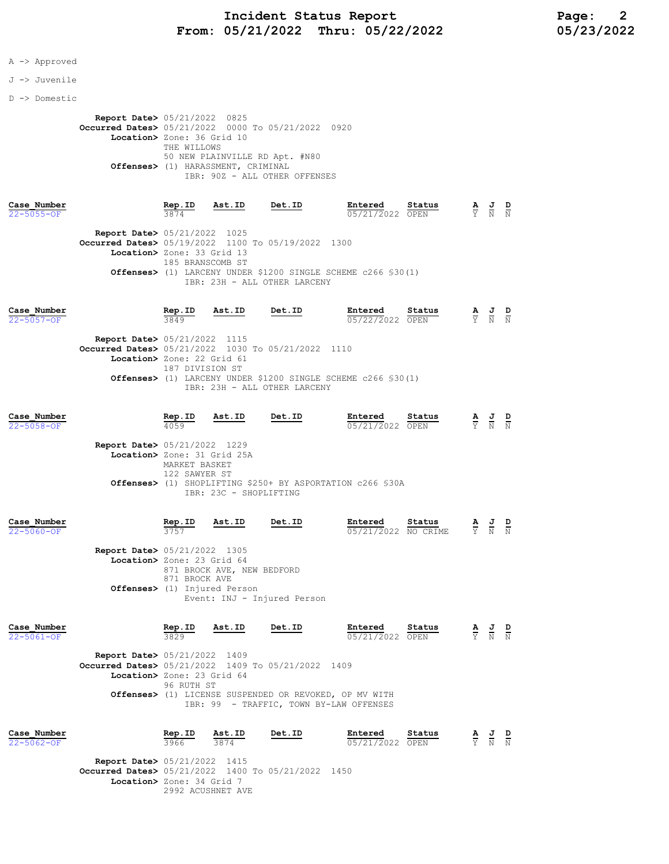### A -> Approved

### J -> Juvenile

### D -> Domestic

 Report Date> 05/21/2022 0825 Occurred Dates> 05/21/2022 0000 To 05/21/2022 0920 Location> Zone: 36 Grid 10 THE WILLOWS 50 NEW PLAINVILLE RD Apt. #N80 Offenses> (1) HARASSMENT, CRIMINAL IBR: 90Z - ALL OTHER OFFENSES

| Case Number                                        | Rep.ID           | Ast.ID | Det.ID                       | Entered                                                                 | Status | A J |       | D |
|----------------------------------------------------|------------------|--------|------------------------------|-------------------------------------------------------------------------|--------|-----|-------|---|
| $22 - 5055 - 0F$                                   | 3874             |        |                              | 05/21/2022 OPEN                                                         |        |     | Y N N |   |
| <b>Report Date&gt; 05/21/2022 1025</b>             |                  |        |                              |                                                                         |        |     |       |   |
| Occurred Dates> 05/19/2022 1100 To 05/19/2022 1300 |                  |        |                              |                                                                         |        |     |       |   |
| Location> Zone: 33 Grid 13                         |                  |        |                              |                                                                         |        |     |       |   |
|                                                    | 185 BRANSCOMB ST |        |                              |                                                                         |        |     |       |   |
|                                                    |                  |        |                              | <b>Offenses&gt;</b> (1) LARCENY UNDER \$1200 SINGLE SCHEME c266 \$30(1) |        |     |       |   |
|                                                    |                  |        | IBR: 23H - ALL OTHER LARCENY |                                                                         |        |     |       |   |

| Case Number                                        | Rep.ID                     | Ast.ID | Det.ID                       | Entered                                                                 | Status | <u>AJ</u> |       | D |
|----------------------------------------------------|----------------------------|--------|------------------------------|-------------------------------------------------------------------------|--------|-----------|-------|---|
| 22-5057-OF                                         | 3849                       |        |                              | 05/22/2022 OPEN                                                         |        |           | Y N N |   |
| <b>Report Date&gt; 05/21/2022 1115</b>             |                            |        |                              |                                                                         |        |           |       |   |
| Occurred Dates> 05/21/2022 1030 To 05/21/2022 1110 |                            |        |                              |                                                                         |        |           |       |   |
|                                                    | Location> Zone: 22 Grid 61 |        |                              |                                                                         |        |           |       |   |
|                                                    | 187 DIVISION ST            |        |                              |                                                                         |        |           |       |   |
|                                                    |                            |        |                              | <b>Offenses&gt;</b> (1) LARCENY UNDER \$1200 SINGLE SCHEME c266 \$30(1) |        |           |       |   |
|                                                    |                            |        | IBR: 23H - ALL OTHER LARCENY |                                                                         |        |           |       |   |

| Case Number<br>$22 - 5058 - OF$                                                          | Rep.ID<br>4059                 | Ast.ID                                                               | Det.ID                      | Entered<br>05/21/2022 OPEN                                 | Status   | $\frac{\mathbf{A}}{\overline{Y}}$ | $\frac{J}{N}$ $\frac{D}{N}$                                                                     |  |
|------------------------------------------------------------------------------------------|--------------------------------|----------------------------------------------------------------------|-----------------------------|------------------------------------------------------------|----------|-----------------------------------|-------------------------------------------------------------------------------------------------|--|
| <b>Report Date&gt; 05/21/2022 1229</b><br>Location> Zone: 31 Grid 25A                    | MARKET BASKET<br>122 SAWYER ST |                                                                      |                             | Offenses> (1) SHOPLIFTING \$250+ BY ASPORTATION c266 \$30A |          |                                   |                                                                                                 |  |
| Case Number                                                                              | Rep.ID                         | IBR: 23C - SHOPLIFTING<br>Ast.ID                                     | Det.ID                      | Entered                                                    | Status   |                                   |                                                                                                 |  |
| $22 - 5060 - OF$<br><b>Report Date&gt; 05/21/2022 1305</b><br>Location> Zone: 23 Grid 64 | 3757                           |                                                                      |                             | 05/21/2022                                                 | NO CRIME |                                   | $\frac{\mathbf{A}}{\mathbf{Y}}$ $\frac{\mathbf{J}}{\mathbf{N}}$ $\frac{\mathbf{D}}{\mathbf{N}}$ |  |
|                                                                                          | 871 BROCK AVE                  | 871 BROCK AVE, NEW BEDFORD<br><b>Offenses&gt;</b> (1) Injured Person | Event: INJ - Injured Person |                                                            |          |                                   |                                                                                                 |  |

| Case Number      |                                                    | Rep.ID     | Ast.ID | Det.ID | Entered                                                | Status | $\overline{\mathbf{A}}$ | 프 | D |
|------------------|----------------------------------------------------|------------|--------|--------|--------------------------------------------------------|--------|-------------------------|---|---|
| $22 - 5061 - 0F$ |                                                    | 3829       |        |        | 05/21/2022 OPEN                                        |        |                         | N | N |
|                  | <b>Report Date&gt; 05/21/2022 1409</b>             |            |        |        |                                                        |        |                         |   |   |
|                  | Occurred Dates> 05/21/2022 1409 To 05/21/2022 1409 |            |        |        |                                                        |        |                         |   |   |
|                  | Location> Zone: 23 Grid 64                         |            |        |        |                                                        |        |                         |   |   |
|                  |                                                    | 96 RUTH ST |        |        |                                                        |        |                         |   |   |
|                  |                                                    |            |        |        | Offenses> (1) LICENSE SUSPENDED OR REVOKED, OP MV WITH |        |                         |   |   |
|                  |                                                    |            |        |        | IBR: 99 - TRAFFIC, TOWN BY-LAW OFFENSES                |        |                         |   |   |
|                  |                                                    |            |        |        |                                                        |        |                         |   |   |
|                  |                                                    |            |        |        |                                                        |        |                         |   |   |

| Case Number                                        |                           | Rep.ID | Ast.ID | Det.ID | Entered         | Status | AJ D  |        |
|----------------------------------------------------|---------------------------|--------|--------|--------|-----------------|--------|-------|--------|
| $22 - 5062 - 0F$                                   |                           | 3966   | 3874   |        | 05/21/2022 OPEN |        | Y N N | $\sim$ |
| <b>Report Date&gt; 05/21/2022 1415</b>             |                           |        |        |        |                 |        |       |        |
| Occurred Dates> 05/21/2022 1400 To 05/21/2022 1450 |                           |        |        |        |                 |        |       |        |
|                                                    | Location> Zone: 34 Grid 7 |        |        |        |                 |        |       |        |
|                                                    | 2992 ACUSHNET AVE         |        |        |        |                 |        |       |        |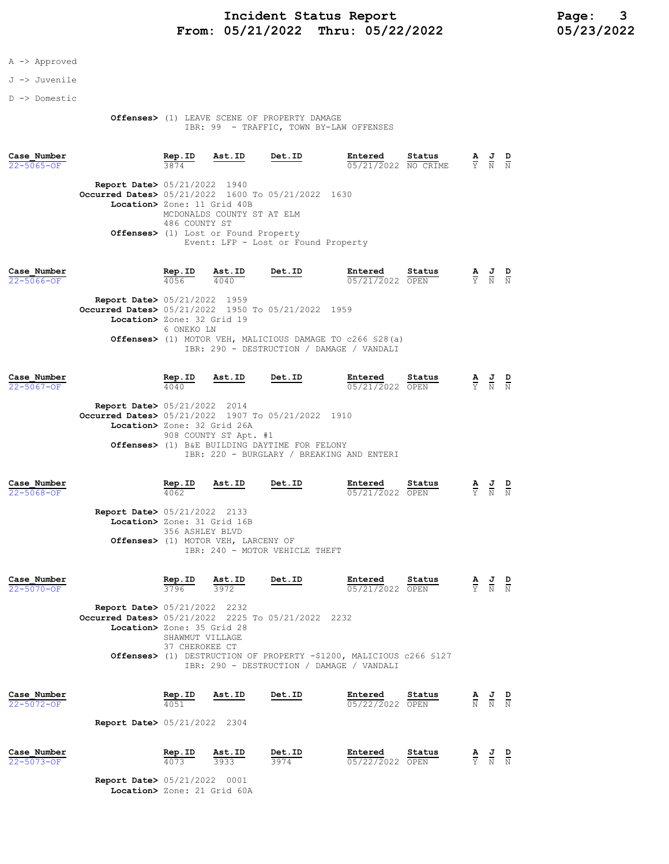### A -> Approved

### J -> Juvenile

D -> Domestic

#### Offenses> (1) LEAVE SCENE OF PROPERTY DAMAGE IBR: 99 - TRAFFIC, TOWN BY-LAW OFFENSES

| Case Number<br>$22 - 5065 - OF$ |                                                                                   | Rep.ID<br>3874 | Ast.ID                     | Det.ID                              | Entered<br>05/21/2022 NO CRIME | Status | A<br>Y | 프<br>N | D<br>$\mathbb N$ |
|---------------------------------|-----------------------------------------------------------------------------------|----------------|----------------------------|-------------------------------------|--------------------------------|--------|--------|--------|------------------|
|                                 | <b>Report Date&gt; 05/21/2022 1940</b>                                            |                |                            |                                     |                                |        |        |        |                  |
|                                 | Occurred Dates> 05/21/2022 1600 To 05/21/2022 1630<br>Location> Zone: 11 Grid 40B |                | MCDONALDS COUNTY ST AT ELM |                                     |                                |        |        |        |                  |
|                                 | <b>Offenses&gt;</b> (1) Lost or Found Property                                    | 486 COUNTY ST  |                            | Event: LFP - Lost or Found Property |                                |        |        |        |                  |
| Case Number                     |                                                                                   | Rep.ID         | Ast.ID                     | Det.ID                              | Entered                        | Status | A      | J      | D                |

22-5066-OF 4056 4040 05/21/2022 OPEN Y N N

Report Date> 05/21/2022 1959 **Occurred Dates>** 05/21/2022 1950 To 05/21/2022 1959 Location> Zone: 32 Grid 19 6 ONEKO LN Offenses> (1) MOTOR VEH, MALICIOUS DAMAGE TO c266 §28(a) IBR: 290 - DESTRUCTION / DAMAGE / VANDALI

| Case Number      |                                                    | Rep.ID | Ast.ID                | Det.ID                                        | Entered                                   | Status | $\underline{A}$ $\underline{J}$ | D |
|------------------|----------------------------------------------------|--------|-----------------------|-----------------------------------------------|-------------------------------------------|--------|---------------------------------|---|
| $22 - 5067 - OF$ |                                                    | 4040   |                       |                                               | 05/21/2022 OPEN                           |        | Y N N                           |   |
|                  | <b>Report Date&gt; 05/21/2022 2014</b>             |        |                       |                                               |                                           |        |                                 |   |
|                  | Occurred Dates> 05/21/2022 1907 To 05/21/2022 1910 |        |                       |                                               |                                           |        |                                 |   |
|                  | Location> Zone: 32 Grid 26A                        |        |                       |                                               |                                           |        |                                 |   |
|                  |                                                    |        | 908 COUNTY ST Apt. #1 |                                               |                                           |        |                                 |   |
|                  |                                                    |        |                       | Offenses> (1) B&E BUILDING DAYTIME FOR FELONY |                                           |        |                                 |   |
|                  |                                                    |        |                       |                                               | IBR: 220 - BURGLARY / BREAKING AND ENTERI |        |                                 |   |
|                  |                                                    |        |                       |                                               |                                           |        |                                 |   |

| Case Number      |                                        | Rep.ID | <u>Ast.ID</u>                       | Det.ID                         | Entered         | Status | A J   | D |
|------------------|----------------------------------------|--------|-------------------------------------|--------------------------------|-----------------|--------|-------|---|
| $22 - 5068 - OF$ |                                        | 4062   |                                     |                                | 05/21/2022 OPEN |        | Y N N |   |
|                  | <b>Report Date&gt; 05/21/2022 2133</b> |        |                                     |                                |                 |        |       |   |
|                  |                                        |        | Location> Zone: 31 Grid 16B         |                                |                 |        |       |   |
|                  |                                        |        | 356 ASHLEY BLVD                     |                                |                 |        |       |   |
|                  |                                        |        | Offenses> (1) MOTOR VEH, LARCENY OF |                                |                 |        |       |   |
|                  |                                        |        |                                     | IBR: 240 - MOTOR VEHICLE THEFT |                 |        |       |   |

| Case Number |                                                    | Rep.ID                            | Ast.ID<br>3972             | Det.ID | Entered                                                                                                          | Status | ≜ | 프 | D |  |  |  |  |
|-------------|----------------------------------------------------|-----------------------------------|----------------------------|--------|------------------------------------------------------------------------------------------------------------------|--------|---|---|---|--|--|--|--|
| 22-5070-OF  |                                                    | 3796                              |                            |        | 05/21/2022 OPEN                                                                                                  |        | Y | N | N |  |  |  |  |
|             | <b>Report Date&gt; 05/21/2022 2232</b>             |                                   |                            |        |                                                                                                                  |        |   |   |   |  |  |  |  |
|             | Occurred Dates> 05/21/2022 2225 To 05/21/2022 2232 |                                   |                            |        |                                                                                                                  |        |   |   |   |  |  |  |  |
|             |                                                    |                                   | Location> Zone: 35 Grid 28 |        |                                                                                                                  |        |   |   |   |  |  |  |  |
|             |                                                    | SHAWMUT VILLAGE<br>37 CHEROKEE CT |                            |        |                                                                                                                  |        |   |   |   |  |  |  |  |
|             |                                                    |                                   |                            |        | Offenses> (1) DESTRUCTION OF PROPERTY -\$1200, MALICIOUS c266 \$127<br>IBR: 290 - DESTRUCTION / DAMAGE / VANDALI |        |   |   |   |  |  |  |  |
|             |                                                    |                                   |                            |        |                                                                                                                  |        |   |   |   |  |  |  |  |

| Case Number | Rep.ID                                 | Ast.ID | Det.ID | Entered         | Status | the contract of the contract of | AJD<br>$\sim$ | __ |
|-------------|----------------------------------------|--------|--------|-----------------|--------|---------------------------------|---------------|----|
| 22-5072-OF  | 4051                                   |        |        | 05/22/2022 OPEN |        |                                 | N N N         |    |
|             |                                        |        |        |                 |        |                                 |               |    |
|             | <b>Report Date&gt; 05/21/2022 2304</b> |        |        |                 |        |                                 |               |    |

| Case Number | Rep.ID | Ast.ID | Det.ID | Entered         | Status | AJD   |        |        |
|-------------|--------|--------|--------|-----------------|--------|-------|--------|--------|
| 22-5073-OF  | 4073   | 3933   | 3974   | 05/22/2022 OPEN |        | Y N N | $\sim$ | $\sim$ |

 Report Date> 05/21/2022 0001 .<br>Location> Zone: 21 Grid 60A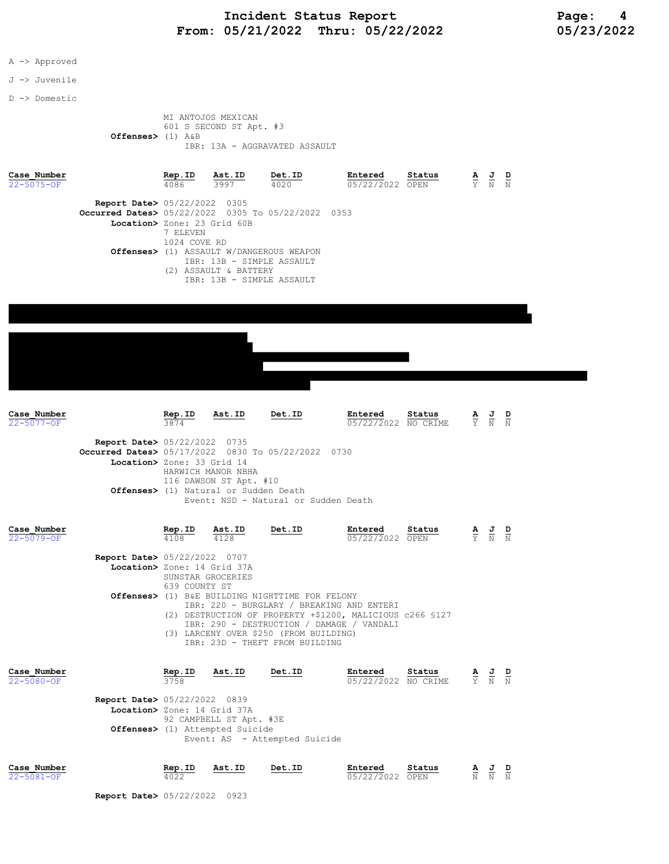### A -> Approved

### J -> Juvenile

D -> Domestic

#### MI ANTOJOS MEXICAN 601 S SECOND ST Apt. #3 Offenses> (1) A&B IBR: 13A - AGGRAVATED ASSAULT

| Case Number<br>$22 - 5075 - 0F$ |                                                                                                        | Rep.ID<br>4086                                                    | Ast.ID<br>3997                                                                                  | Det.ID<br>4020                                                                                                                                                                                                                                                                               | Entered<br>05/22/2022 OPEN     | Status |                               | $\frac{\mathbf{A}}{\mathbf{Y}}$ $\frac{\mathbf{J}}{\mathbf{N}}$                                 |               |
|---------------------------------|--------------------------------------------------------------------------------------------------------|-------------------------------------------------------------------|-------------------------------------------------------------------------------------------------|----------------------------------------------------------------------------------------------------------------------------------------------------------------------------------------------------------------------------------------------------------------------------------------------|--------------------------------|--------|-------------------------------|-------------------------------------------------------------------------------------------------|---------------|
|                                 | <b>Report Date&gt; 05/22/2022 0305</b><br><b>Occurred Dates&gt;</b> 05/22/2022 0305 To 05/22/2022 0353 | Location> Zone: 23 Grid 60B<br>7 ELEVEN<br>1024 COVE RD           | IBR: 13B - SIMPLE ASSAULT<br>(2) ASSAULT & BATTERY<br>IBR: 13B - SIMPLE ASSAULT                 | <b>Offenses&gt;</b> (1) ASSAULT W/DANGEROUS WEAPON                                                                                                                                                                                                                                           |                                |        |                               |                                                                                                 |               |
|                                 |                                                                                                        |                                                                   |                                                                                                 |                                                                                                                                                                                                                                                                                              |                                |        |                               |                                                                                                 |               |
|                                 |                                                                                                        |                                                                   |                                                                                                 |                                                                                                                                                                                                                                                                                              |                                |        |                               |                                                                                                 |               |
| Case Number<br>$22 - 5077 - OF$ |                                                                                                        | Rep.ID<br>3874                                                    | Ast.ID                                                                                          | Det.ID                                                                                                                                                                                                                                                                                       | Entered<br>05/22/2022 NO CRIME | Status |                               | $\frac{\mathbf{A}}{\mathbf{Y}}$ $\frac{\mathbf{J}}{\mathbf{N}}$ $\frac{\mathbf{D}}{\mathbf{N}}$ |               |
|                                 | Report Date> 05/22/2022 0735<br>Occurred Dates> 05/17/2022 0830 To 05/22/2022 0730                     | Location> Zone: 33 Grid 14                                        | HARWICH MANOR NBHA<br>116 DAWSON ST Apt. #10<br><b>Offenses&gt;</b> (1) Natural or Sudden Death | Event: NSD - Natural or Sudden Death                                                                                                                                                                                                                                                         |                                |        |                               |                                                                                                 |               |
| Case Number<br>$22 - 5079 - OF$ |                                                                                                        | Rep.ID<br>4108                                                    | Ast.ID<br>4128                                                                                  | Det.ID                                                                                                                                                                                                                                                                                       | Entered<br>05/22/2022 OPEN     | Status |                               | $\frac{\mathbf{A}}{\mathbf{Y}}$ $\frac{\mathbf{J}}{\mathbf{N}}$                                 | $\frac{D}{N}$ |
|                                 | <b>Report Date&gt; 05/22/2022 0707</b>                                                                 | Location> Zone: 14 Grid 37A<br>SUNSTAR GROCERIES<br>639 COUNTY ST |                                                                                                 | <b>Offenses&gt;</b> (1) B&E BUILDING NIGHTTIME FOR FELONY<br>IBR: 220 - BURGLARY / BREAKING AND ENTERI<br>(2) DESTRUCTION OF PROPERTY +\$1200, MALICIOUS c266 \$127<br>IBR: 290 - DESTRUCTION / DAMAGE / VANDALI<br>(3) LARCENY OVER \$250 (FROM BUILDING)<br>IBR: 23D - THEFT FROM BUILDING |                                |        |                               |                                                                                                 |               |
| Case Number<br>$22 - 5080 - 0F$ | <b>Report Date&gt;</b> 05/22/2022 0839                                                                 | Rep.ID<br>3758<br>Location> Zone: 14 Grid 37A                     | Ast.ID                                                                                          | Det.ID                                                                                                                                                                                                                                                                                       | Entered<br>05/22/2022 NO CRIME | Status | $rac{\mathbf{A}}{\mathbf{Y}}$ | $\frac{J}{N}$                                                                                   |               |
|                                 |                                                                                                        |                                                                   | 92 CAMPBELL ST Apt. #3E<br>Offenses> (1) Attempted Suicide                                      | Event: AS - Attempted Suicide                                                                                                                                                                                                                                                                |                                |        |                               |                                                                                                 |               |
| Case Number<br>$22 - 5081 - OF$ | Report Date> 05/22/2022 0923                                                                           | Rep.ID                                                            | Ast.ID                                                                                          | <b>Det.ID</b>                                                                                                                                                                                                                                                                                | Entered<br>05/22/2022 OPEN     | Status |                               | $\frac{1}{N}$                                                                                   | $\frac{D}{N}$ |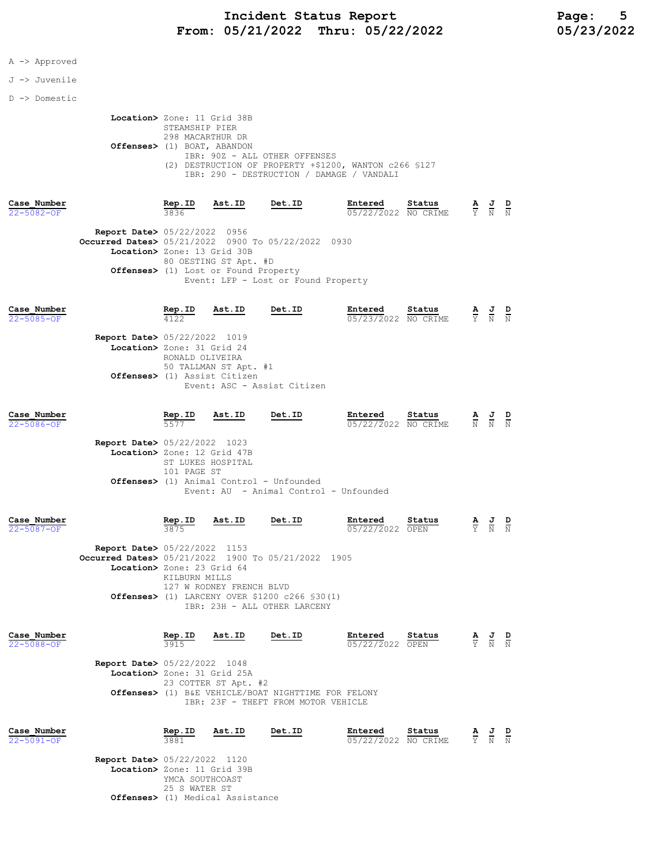### A -> Approved

J -> Juvenile

D -> Domestic

| Location> Zone: 11 Grid 38B                            |
|--------------------------------------------------------|
| STEAMSHIP PIER                                         |
| 298 MACARTHUR DR                                       |
| Offenses> (1) BOAT, ABANDON                            |
| IBR: 90Z - ALL OTHER OFFENSES                          |
| (2) DESTRUCTION OF PROPERTY +\$1200, WANTON c266 \$127 |
| IBR: 290 - DESTRUCTION / DAMAGE / VANDALI              |

| Case Number<br>$22 - 5082 - OF$ |                                                                                                                             | Rep.ID<br>3836 | Ast.ID                                                                  | Det.ID                              | Entered<br>05/22/2022 NO CRIME | Status | $\overline{\mathbf{v}}$ | <u>ੁਰ</u><br>Y N                                                                                | D<br>N |
|---------------------------------|-----------------------------------------------------------------------------------------------------------------------------|----------------|-------------------------------------------------------------------------|-------------------------------------|--------------------------------|--------|-------------------------|-------------------------------------------------------------------------------------------------|--------|
|                                 | <b>Report Date&gt; 05/22/2022 0956</b><br>Occurred Dates> 05/21/2022 0900 To 05/22/2022 0930<br>Location> Zone: 13 Grid 30B |                | 80 OESTING ST Apt. #D<br><b>Offenses&gt;</b> (1) Lost or Found Property | Event: LFP - Lost or Found Property |                                |        |                         |                                                                                                 |        |
| Case Number<br>$22 - 5085 - OF$ | <b>Report Date&gt; 05/22/2022 1019</b>                                                                                      | Rep.ID<br>4122 | Ast.ID                                                                  | Det.ID                              | Entered<br>05/23/2022 NO CRIME | Status |                         | $\frac{\mathbf{A}}{\mathbf{Y}}$ $\frac{\mathbf{J}}{\mathbf{N}}$ $\frac{\mathbf{D}}{\mathbf{N}}$ |        |

| Location> Zone: 31 Grid 24   |
|------------------------------|
| RONALD OLIVEIRA              |
| 50 TALLMAN ST Apt. #1        |
| Offenses> (1) Assist Citizen |
| Event: ASC - Assist Citizen  |
|                              |

| Case Number      |                                        | Rep.ID | Ast.ID | Det.ID | Entered             | Status |       | AJD<br>and the state of the con- |    |
|------------------|----------------------------------------|--------|--------|--------|---------------------|--------|-------|----------------------------------|----|
| $22 - 5086 - OF$ |                                        | 5577   |        |        | 05/22/2022 NO CRIME |        | N N N |                                  | __ |
|                  | <b>Report Date&gt;</b> 05/22/2022 1023 |        |        |        |                     |        |       |                                  |    |

| Location> Zone: 12 Grid 47B                        |
|----------------------------------------------------|
| ST LUKES HOSPITAL                                  |
| 101 PAGE ST                                        |
| <b>Offenses&gt;</b> (1) Animal Control - Unfounded |
| Event: AU - Animal Control - Unfounded             |
|                                                    |

| Case Number |                                                    | Rep.ID        | Ast.ID                   | Det.ID                                                     | Entered         | Status | А  | J | D   |
|-------------|----------------------------------------------------|---------------|--------------------------|------------------------------------------------------------|-----------------|--------|----|---|-----|
| 22-5087-OF  |                                                    | 3875          |                          |                                                            | 05/22/2022 OPEN |        | Y. | N | - N |
|             |                                                    |               |                          |                                                            |                 |        |    |   |     |
|             | <b>Report Date&gt; 05/22/2022 1153</b>             |               |                          |                                                            |                 |        |    |   |     |
|             | Occurred Dates> 05/21/2022 1900 To 05/21/2022 1905 |               |                          |                                                            |                 |        |    |   |     |
|             | Location> Zone: 23 Grid 64                         |               |                          |                                                            |                 |        |    |   |     |
|             |                                                    | KTLBURN MTLLS |                          |                                                            |                 |        |    |   |     |
|             |                                                    |               | 127 W RODNEY FRENCH BLVD |                                                            |                 |        |    |   |     |
|             |                                                    |               |                          | <b>Offenses&gt;</b> (1) LARCENY OVER \$1200 $c266$ \$30(1) |                 |        |    |   |     |
|             |                                                    |               |                          | IBR: 23H - ALL OTHER LARCENY                               |                 |        |    |   |     |
|             |                                                    |               |                          |                                                            |                 |        |    |   |     |
|             |                                                    |               |                          |                                                            |                 |        |    |   |     |
|             |                                                    |               |                          |                                                            |                 |        |    |   |     |

| Case Number      |                                        | Rep.ID                                              | Ast.ID                      | Det.ID                              | Entered         | Status |  | <u>AJ</u> |  |  |  |
|------------------|----------------------------------------|-----------------------------------------------------|-----------------------------|-------------------------------------|-----------------|--------|--|-----------|--|--|--|
| $22 - 5088 - 0F$ |                                        | 3915                                                |                             |                                     | 05/22/2022 OPEN |        |  | Y N N     |  |  |  |
|                  | <b>Report Date&gt; 05/22/2022 1048</b> |                                                     |                             |                                     |                 |        |  |           |  |  |  |
|                  |                                        |                                                     | Location> Zone: 31 Grid 25A |                                     |                 |        |  |           |  |  |  |
|                  |                                        |                                                     | 23 COTTER ST Apt. #2        |                                     |                 |        |  |           |  |  |  |
|                  |                                        | Offenses> (1) B&E VEHICLE/BOAT NIGHTTIME FOR FELONY |                             |                                     |                 |        |  |           |  |  |  |
|                  |                                        |                                                     |                             | IBR: 23F - THEFT FROM MOTOR VEHICLE |                 |        |  |           |  |  |  |
|                  |                                        |                                                     |                             |                                     |                 |        |  |           |  |  |  |

| Case Number<br>22-5091-OF                                             | Rep.ID<br>3881                   | Ast.ID                           | Det.ID | Entered<br>05/22/2022 NO CRIME | Status | <u>AJD</u><br>Y N N |  |
|-----------------------------------------------------------------------|----------------------------------|----------------------------------|--------|--------------------------------|--------|---------------------|--|
| <b>Report Date&gt; 05/22/2022 1120</b><br>Location> Zone: 11 Grid 39B | YMCA SOUTHCOAST<br>25 S WATER ST | Offenses> (1) Medical Assistance |        |                                |        |                     |  |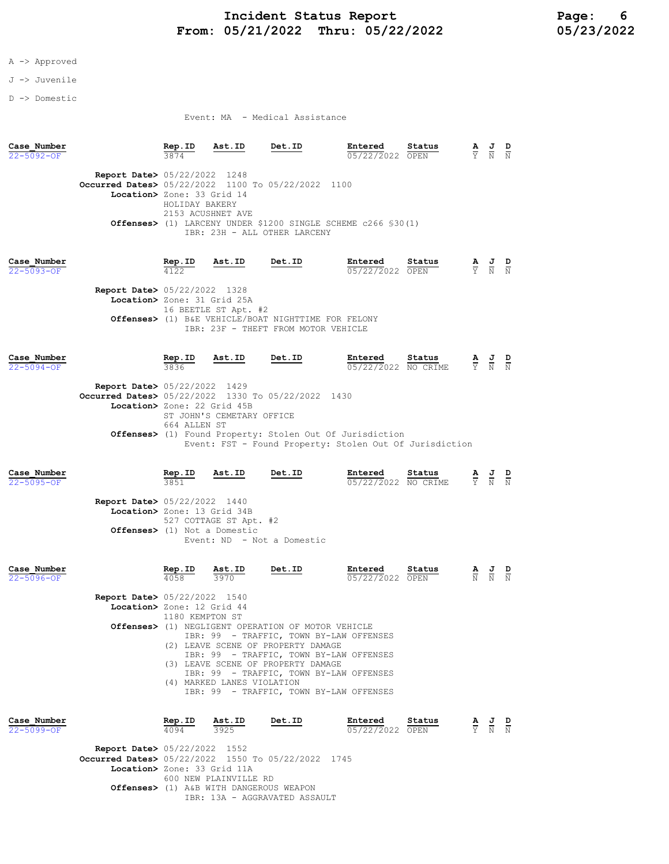### A -> Approved

J -> Juvenile

D -> Domestic

Event: MA - Medical Assistance

| Case Number<br>$22 - 5092 - 0F$ |                                                                                                                                      | Rep.ID<br>3874                                                                                                                                                                                                                                                                     | Ast.ID                         | Det.ID                                                                                                                        | Entered<br>05/22/2022 OPEN     | Status | Ÿ                               | $\frac{1}{N}$ | $\overline{\mathbf{N}}$ |
|---------------------------------|--------------------------------------------------------------------------------------------------------------------------------------|------------------------------------------------------------------------------------------------------------------------------------------------------------------------------------------------------------------------------------------------------------------------------------|--------------------------------|-------------------------------------------------------------------------------------------------------------------------------|--------------------------------|--------|---------------------------------|---------------|-------------------------|
|                                 | <b>Report Date&gt;</b> 05/22/2022 1248<br><b>Occurred Dates&gt;</b> 05/22/2022 1100 To 05/22/2022 1100<br>Location> Zone: 33 Grid 14 | HOLIDAY BAKERY<br>2153 ACUSHNET AVE                                                                                                                                                                                                                                                |                                | <b>Offenses&gt;</b> (1) LARCENY UNDER \$1200 SINGLE SCHEME c266 \$30(1)                                                       |                                |        |                                 |               |                         |
|                                 |                                                                                                                                      |                                                                                                                                                                                                                                                                                    |                                | IBR: 23H - ALL OTHER LARCENY                                                                                                  |                                |        |                                 |               |                         |
| Case Number<br>$22 - 5093 - OF$ | Report Date> 05/22/2022 1328<br>Location> Zone: 31 Grid 25A                                                                          | Rep.ID                                                                                                                                                                                                                                                                             | Ast.ID<br>16 BEETLE ST Apt. #2 | Det.ID<br>Offenses> (1) B&E VEHICLE/BOAT NIGHTTIME FOR FELONY<br>IBR: 23F - THEFT FROM MOTOR VEHICLE                          | Entered<br>05/22/2022 OPEN     | Status | $\frac{\mathbf{A}}{\mathbf{Y}}$ | $\frac{J}{N}$ |                         |
| Case Number<br>22-5094-OF       |                                                                                                                                      | Rep.ID<br>3836                                                                                                                                                                                                                                                                     | Ast.ID                         | <b>Det.ID</b>                                                                                                                 | Entered<br>05/22/2022 NO CRIME | Status | $\frac{\mathbf{A}}{\mathbf{Y}}$ | $\frac{J}{N}$ | $\frac{D}{N}$           |
|                                 | <b>Report Date&gt; 05/22/2022 1429</b><br>Occurred Dates> 05/22/2022 1330 To 05/22/2022 1430<br>Location> Zone: 22 Grid 45B          |                                                                                                                                                                                                                                                                                    | ST JOHN'S CEMETARY OFFICE      |                                                                                                                               |                                |        |                                 |               |                         |
|                                 |                                                                                                                                      | 664 ALLEN ST                                                                                                                                                                                                                                                                       |                                | <b>Offenses&gt;</b> (1) Found Property: Stolen Out Of Jurisdiction<br>Event: FST - Found Property: Stolen Out Of Jurisdiction |                                |        |                                 |               |                         |
| Case Number<br>$22 - 5095 - OF$ |                                                                                                                                      | <b>Rep.ID</b><br>3851                                                                                                                                                                                                                                                              | Ast.ID                         | Det.ID                                                                                                                        | Entered<br>05/22/2022 NO CRIME | Status | A<br>Y.                         | $\frac{1}{N}$ | $\frac{D}{N}$           |
|                                 | <b>Report Date&gt; 05/22/2022 1440</b><br>Location> Zone: 13 Grid 34B                                                                |                                                                                                                                                                                                                                                                                    | 527 COTTAGE ST Apt. #2         |                                                                                                                               |                                |        |                                 |               |                         |
|                                 | Offenses> (1) Not a Domestic                                                                                                         |                                                                                                                                                                                                                                                                                    |                                | Event: ND - Not a Domestic                                                                                                    |                                |        |                                 |               |                         |
| Case Number<br>22-5096-OF       |                                                                                                                                      | Rep.ID<br>4058                                                                                                                                                                                                                                                                     | Ast.ID<br>3970                 | Det.ID                                                                                                                        | Entered<br>05/22/2022 OPEN     | Status | $\frac{\mathbf{A}}{\mathbf{N}}$ |               |                         |
|                                 | <b>Report Date&gt; 05/22/2022 1540</b><br>Location> Zone: 12 Grid 44                                                                 | 1180 KEMPTON ST                                                                                                                                                                                                                                                                    |                                | Offenses> (1) NEGLIGENT OPERATION OF MOTOR VEHICLE                                                                            |                                |        |                                 |               |                         |
|                                 |                                                                                                                                      | IBR: 99 - TRAFFIC, TOWN BY-LAW OFFENSES<br>(2) LEAVE SCENE OF PROPERTY DAMAGE<br>IBR: 99 - TRAFFIC, TOWN BY-LAW OFFENSES<br>(3) LEAVE SCENE OF PROPERTY DAMAGE<br>IBR: 99 - TRAFFIC, TOWN BY-LAW OFFENSES<br>(4) MARKED LANES VIOLATION<br>IBR: 99 - TRAFFIC, TOWN BY-LAW OFFENSES |                                |                                                                                                                               |                                |        |                                 |               |                         |
|                                 |                                                                                                                                      |                                                                                                                                                                                                                                                                                    |                                |                                                                                                                               |                                |        |                                 |               |                         |
| Case Number<br>22-5099-OF       |                                                                                                                                      | Rep.ID<br>4094                                                                                                                                                                                                                                                                     | Ast.ID<br>3925                 | Det.ID                                                                                                                        | Entered<br>05/22/2022 OPEN     | Status | $\frac{\mathbf{A}}{\mathbf{Y}}$ | $\frac{J}{N}$ | $\frac{D}{N}$           |

IBR: 13A - AGGRAVATED ASSAULT

Location> Zone: 33 Grid 11A

Offenses> (1) A&B WITH DANGEROUS WEAPON

600 NEW PLAINVILLE RD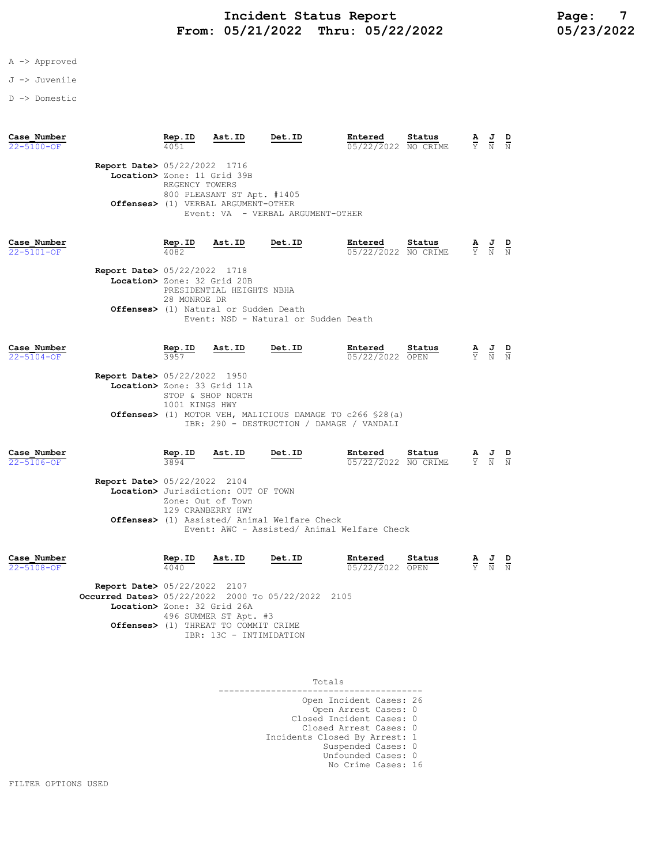- A -> Approved
- J -> Juvenile
- D -> Domestic

| Case Number<br>$22 - 5100 - 0F$ |                                                                                                                        | Rep.ID                                        | Ast.ID                                                                                             | Det.ID                                                                                                                  | Entered<br>05/22/2022 NO CRIME | Status         |                                 | $\frac{1}{N}$                                                                                   |  |
|---------------------------------|------------------------------------------------------------------------------------------------------------------------|-----------------------------------------------|----------------------------------------------------------------------------------------------------|-------------------------------------------------------------------------------------------------------------------------|--------------------------------|----------------|---------------------------------|-------------------------------------------------------------------------------------------------|--|
|                                 | <b>Report Date&gt; 05/22/2022 1716</b><br>Location> Zone: 11 Grid 39B                                                  | REGENCY TOWERS                                | 800 PLEASANT ST Apt. #1405<br>Offenses> (1) VERBAL ARGUMENT-OTHER                                  | Event: VA - VERBAL ARGUMENT-OTHER                                                                                       |                                |                |                                 |                                                                                                 |  |
| Case Number<br>22-5101-OF       | <b>Report Date&gt; 05/22/2022 1718</b><br>Location> Zone: 32 Grid 20B                                                  | Rep.ID<br>4082<br>28 MONROE DR                | Ast.ID<br>PRESIDENTIAL HEIGHTS NBHA<br>Offenses> (1) Natural or Sudden Death                       | Det.ID<br>Event: NSD - Natural or Sudden Death                                                                          | Entered<br>05/22/2022 NO CRIME | Status         |                                 | $\frac{\mathbf{A}}{\mathbf{Y}}$ $\frac{\mathbf{J}}{\mathbf{N}}$                                 |  |
| Case Number<br>$22 - 5104 - OF$ | Report Date> 05/22/2022 1950<br>Location> Zone: 33 Grid 11A                                                            | $rac{\text{Rep. ID}}{3957}$<br>1001 KINGS HWY | Ast.ID<br>STOP & SHOP NORTH                                                                        | <b>Det.ID</b><br>Offenses> (1) MOTOR VEH, MALICIOUS DAMAGE TO c266 \$28(a)<br>IBR: 290 - DESTRUCTION / DAMAGE / VANDALI | Entered<br>05/22/2022 OPEN     | Status         |                                 | $\frac{\mathbf{A}}{\mathbf{Y}}$ $\frac{\mathbf{J}}{\mathbf{N}}$ $\frac{\mathbf{D}}{\mathbf{N}}$ |  |
| Case Number<br>22-5106-OF       | Report Date> 05/22/2022 2104                                                                                           | $rac{\text{Rep. ID}}{3894}$                   | Ast.ID<br>Location> Jurisdiction: OUT OF TOWN<br>Zone: Out of Town<br>129 CRANBERRY HWY            | Det.ID<br>Offenses> (1) Assisted/ Animal Welfare Check<br>Event: AWC - Assisted/ Animal Welfare Check                   | Entered<br>05/22/2022 NO CRIME | Status         |                                 | $\frac{J}{N}$                                                                                   |  |
| Case Number<br>22-5108-OF       | <b>Report Date&gt; 05/22/2022 2107</b><br>Occurred Dates> 05/22/2022 2000 To 05/22/2022<br>Location> Zone: 32 Grid 26A | Rep.ID<br>4040                                | Ast.ID<br>496 SUMMER ST Apt. #3<br>Offenses> (1) THREAT TO COMMIT CRIME<br>IBR: 13C - INTIMIDATION | Det.ID                                                                                                                  | Entered<br>05/22/2022<br>2105  | Status<br>OPEN | $\frac{\mathbf{A}}{\mathbf{Y}}$ | $\frac{J}{N}$                                                                                   |  |

Totals

| TACHO                                                          |  |
|----------------------------------------------------------------|--|
| Open Incident Cases: 26<br>Open Arrest Cases: 0                |  |
| Closed Incident Cases: 0<br>Closed Arrest Cases: 0             |  |
| Incidents Closed By Arrest: 1                                  |  |
| Suspended Cases: 0<br>Unfounded Cases: 0<br>No Crime Cases: 16 |  |
|                                                                |  |